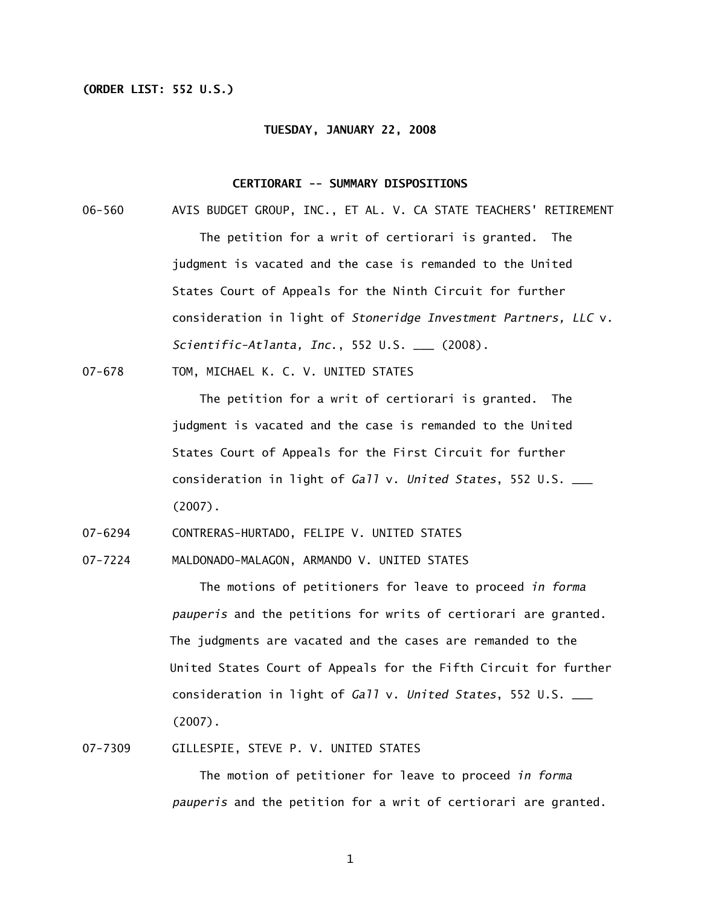### **(ORDER LIST: 552 U.S.)**

#### **TUESDAY, JANUARY 22, 2008**

#### **CERTIORARI -- SUMMARY DISPOSITIONS**

06-560 AVIS BUDGET GROUP, INC., ET AL. V. CA STATE TEACHERS' RETIREMENT The petition for a writ of certiorari is granted. The judgment is vacated and the case is remanded to the United States Court of Appeals for the Ninth Circuit for further consideration in light of *Stoneridge Investment Partners, LLC* v. *Scientific-Atlanta, Inc*., 552 U.S. \_\_\_ (2008).

07-678 TOM, MICHAEL K. C. V. UNITED STATES

 The petition for a writ of certiorari is granted. The judgment is vacated and the case is remanded to the United States Court of Appeals for the First Circuit for further consideration in light of *Gall* v. *United States*, 552 U.S. \_\_\_ (2007).

07-6294 CONTRERAS-HURTADO, FELIPE V. UNITED STATES

07-7224 MALDONADO-MALAGON, ARMANDO V. UNITED STATES

 The motions of petitioners for leave to proceed *in forma pauperis* and the petitions for writs of certiorari are granted. The judgments are vacated and the cases are remanded to the United States Court of Appeals for the Fifth Circuit for further consideration in light of *Gall* v. *United States*, 552 U.S. \_\_\_ (2007).

### 07-7309 GILLESPIE, STEVE P. V. UNITED STATES

 The motion of petitioner for leave to proceed *in forma pauperis* and the petition for a writ of certiorari are granted.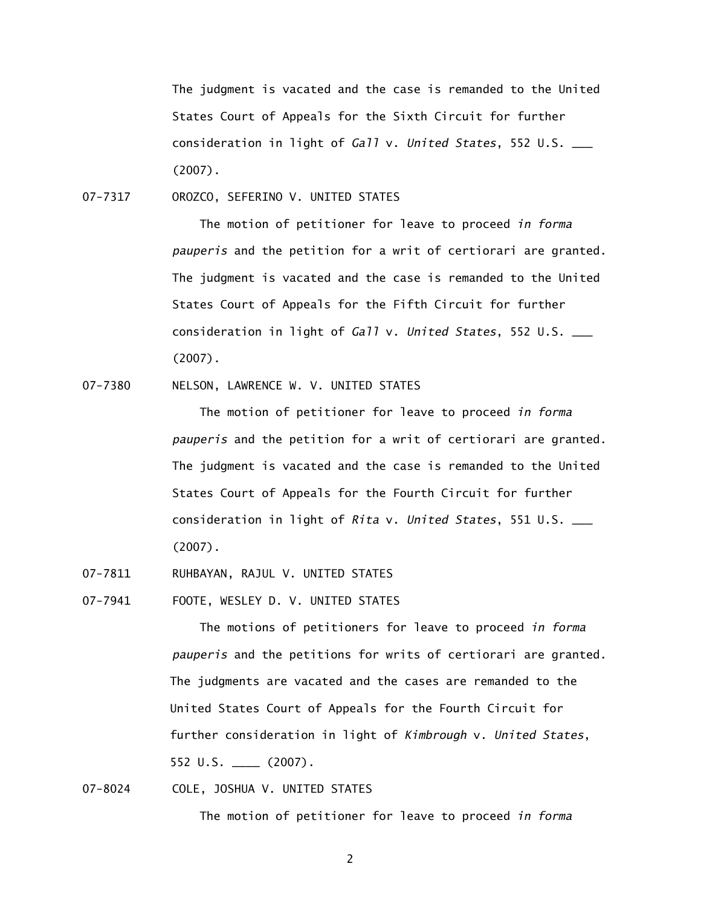The judgment is vacated and the case is remanded to the United States Court of Appeals for the Sixth Circuit for further consideration in light of *Gall* v. *United States*, 552 U.S. \_\_\_ (2007).

07-7317 OROZCO, SEFERINO V. UNITED STATES

 The motion of petitioner for leave to proceed *in forma pauperis* and the petition for a writ of certiorari are granted. The judgment is vacated and the case is remanded to the United States Court of Appeals for the Fifth Circuit for further consideration in light of *Gall* v. *United States*, 552 U.S. \_\_\_ (2007).

### 07-7380 NELSON, LAWRENCE W. V. UNITED STATES

 The motion of petitioner for leave to proceed *in forma pauperis* and the petition for a writ of certiorari are granted. The judgment is vacated and the case is remanded to the United States Court of Appeals for the Fourth Circuit for further consideration in light of *Rita* v. *United States*, 551 U.S. \_\_\_ (2007).

- 07-7811 RUHBAYAN, RAJUL V. UNITED STATES
- 07-7941 FOOTE, WESLEY D. V. UNITED STATES

 The motions of petitioners for leave to proceed *in forma pauperis* and the petitions for writs of certiorari are granted. The judgments are vacated and the cases are remanded to the United States Court of Appeals for the Fourth Circuit for further consideration in light of *Kimbrough* v. *United States*, 552 U.S. \_\_\_\_ (2007).

# 07-8024 COLE, JOSHUA V. UNITED STATES

The motion of petitioner for leave to proceed *in forma*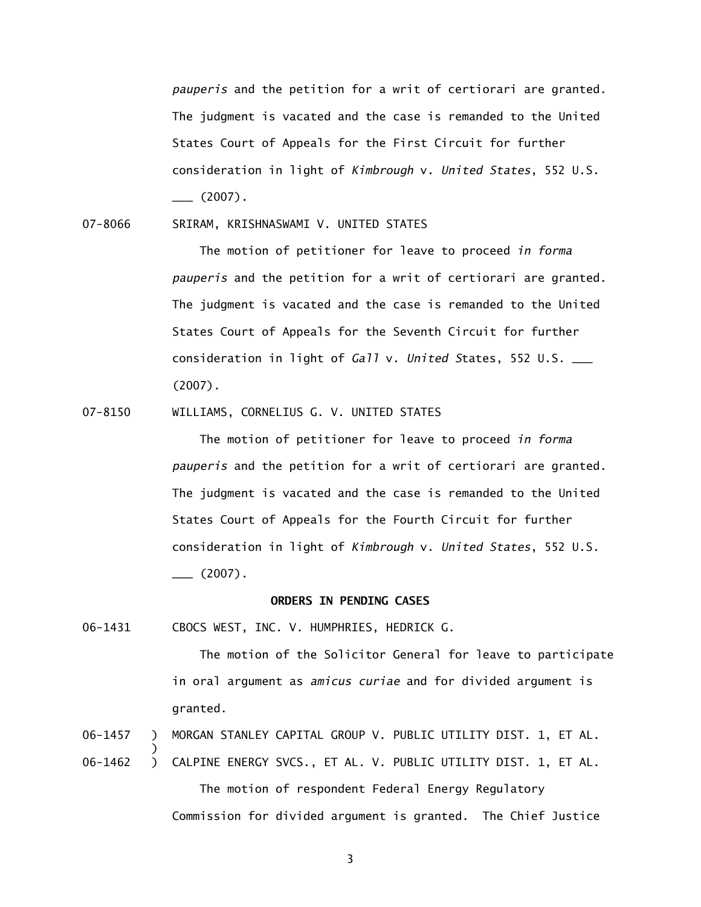*pauperis* and the petition for a writ of certiorari are granted. The judgment is vacated and the case is remanded to the United States Court of Appeals for the First Circuit for further consideration in light of *Kimbrough* v. *United States*, 552 U.S.  $\frac{1}{2007}$ .

07-8066 SRIRAM, KRISHNASWAMI V. UNITED STATES

 The motion of petitioner for leave to proceed *in forma pauperis* and the petition for a writ of certiorari are granted. The judgment is vacated and the case is remanded to the United States Court of Appeals for the Seventh Circuit for further consideration in light of *Gall* v. *United S*tates, 552 U.S. \_\_\_ (2007).

07-8150 WILLIAMS, CORNELIUS G. V. UNITED STATES

 The motion of petitioner for leave to proceed *in forma pauperis* and the petition for a writ of certiorari are granted. The judgment is vacated and the case is remanded to the United States Court of Appeals for the Fourth Circuit for further consideration in light of *Kimbrough* v. *United States*, 552 U.S.  $\frac{1}{2}$  (2007).

#### **ORDERS IN PENDING CASES**

06-1431 CBOCS WEST, INC. V. HUMPHRIES, HEDRICK G.

 $\overline{\phantom{a}}$ 

 The motion of the Solicitor General for leave to participate in oral argument as *amicus curiae* and for divided argument is granted.

06-1457 ) MORGAN STANLEY CAPITAL GROUP V. PUBLIC UTILITY DIST. 1, ET AL.

06-1462 ) CALPINE ENERGY SVCS., ET AL. V. PUBLIC UTILITY DIST. 1, ET AL. The motion of respondent Federal Energy Regulatory Commission for divided argument is granted. The Chief Justice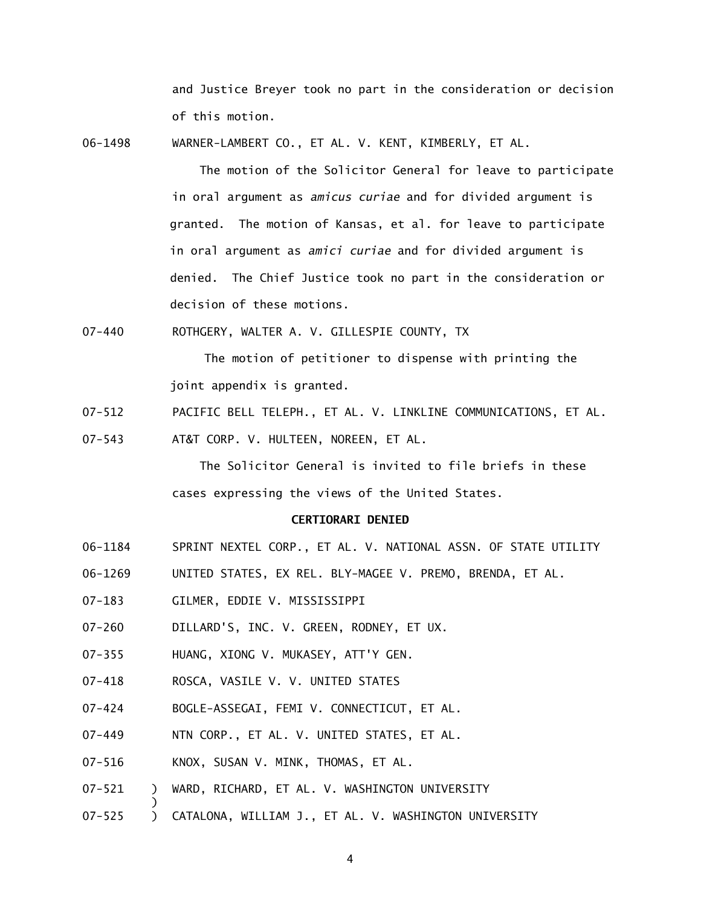and Justice Breyer took no part in the consideration or decision of this motion.

06-1498 WARNER-LAMBERT CO., ET AL. V. KENT, KIMBERLY, ET AL.

 The motion of the Solicitor General for leave to participate in oral argument as *amicus curiae* and for divided argument is granted. The motion of Kansas, et al. for leave to participate in oral argument as *amici curiae* and for divided argument is denied. The Chief Justice took no part in the consideration or decision of these motions.

07-440 ROTHGERY, WALTER A. V. GILLESPIE COUNTY, TX

 The motion of petitioner to dispense with printing the joint appendix is granted.

07-512 PACIFIC BELL TELEPH., ET AL. V. LINKLINE COMMUNICATIONS, ET AL.

07-543 AT&T CORP. V. HULTEEN, NOREEN, ET AL.

 The Solicitor General is invited to file briefs in these cases expressing the views of the United States.

#### **CERTIORARI DENIED**

- 06-1184 SPRINT NEXTEL CORP., ET AL. V. NATIONAL ASSN. OF STATE UTILITY
- 06-1269 UNITED STATES, EX REL. BLY-MAGEE V. PREMO, BRENDA, ET AL.
- 07-183 GILMER, EDDIE V. MISSISSIPPI
- 07-260 DILLARD'S, INC. V. GREEN, RODNEY, ET UX.
- 07-355 HUANG, XIONG V. MUKASEY, ATT'Y GEN.
- 07-418 ROSCA, VASILE V. V. UNITED STATES
- 07-424 BOGLE-ASSEGAI, FEMI V. CONNECTICUT, ET AL.
- 07-449 NTN CORP., ET AL. V. UNITED STATES, ET AL.
- 07-516 KNOX, SUSAN V. MINK, THOMAS, ET AL.

 $\overline{\phantom{a}}$ 

- 07-521 ) WARD, RICHARD, ET AL. V. WASHINGTON UNIVERSITY
- 07-525 ) CATALONA, WILLIAM J., ET AL. V. WASHINGTON UNIVERSITY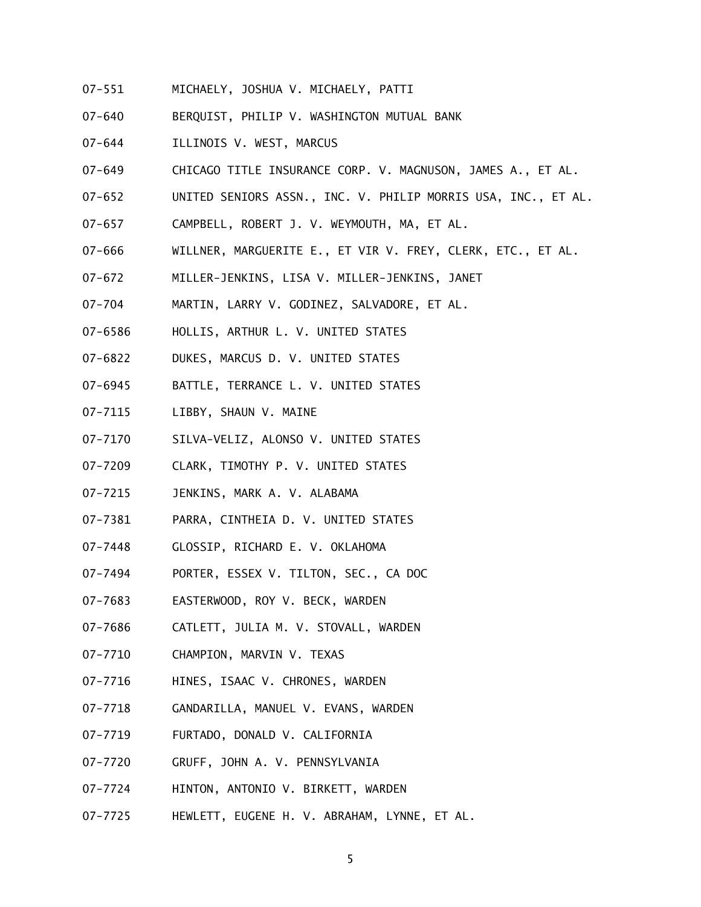- 07-551 MICHAELY, JOSHUA V. MICHAELY, PATTI
- 07-640 BERQUIST, PHILIP V. WASHINGTON MUTUAL BANK
- 07-644 ILLINOIS V. WEST, MARCUS
- 07-649 CHICAGO TITLE INSURANCE CORP. V. MAGNUSON, JAMES A., ET AL.
- 07-652 UNITED SENIORS ASSN., INC. V. PHILIP MORRIS USA, INC., ET AL.
- 07-657 CAMPBELL, ROBERT J. V. WEYMOUTH, MA, ET AL.
- 07-666 WILLNER, MARGUERITE E., ET VIR V. FREY, CLERK, ETC., ET AL.
- 07-672 MILLER-JENKINS, LISA V. MILLER-JENKINS, JANET
- 07-704 MARTIN, LARRY V. GODINEZ, SALVADORE, ET AL.
- 07-6586 HOLLIS, ARTHUR L. V. UNITED STATES
- 07-6822 DUKES, MARCUS D. V. UNITED STATES
- 07-6945 BATTLE, TERRANCE L. V. UNITED STATES
- 07-7115 LIBBY, SHAUN V. MAINE
- 07-7170 SILVA-VELIZ, ALONSO V. UNITED STATES
- 07-7209 CLARK, TIMOTHY P. V. UNITED STATES
- 07-7215 JENKINS, MARK A. V. ALABAMA
- 07-7381 PARRA, CINTHEIA D. V. UNITED STATES
- 07-7448 GLOSSIP, RICHARD E. V. OKLAHOMA
- 07-7494 PORTER, ESSEX V. TILTON, SEC., CA DOC
- 07-7683 EASTERWOOD, ROY V. BECK, WARDEN
- 07-7686 CATLETT, JULIA M. V. STOVALL, WARDEN
- 07-7710 CHAMPION, MARVIN V. TEXAS
- 07-7716 HINES, ISAAC V. CHRONES, WARDEN
- 07-7718 GANDARILLA, MANUEL V. EVANS, WARDEN
- 07-7719 FURTADO, DONALD V. CALIFORNIA
- 07-7720 GRUFF, JOHN A. V. PENNSYLVANIA
- 07-7724 HINTON, ANTONIO V. BIRKETT, WARDEN
- 07-7725 HEWLETT, EUGENE H. V. ABRAHAM, LYNNE, ET AL.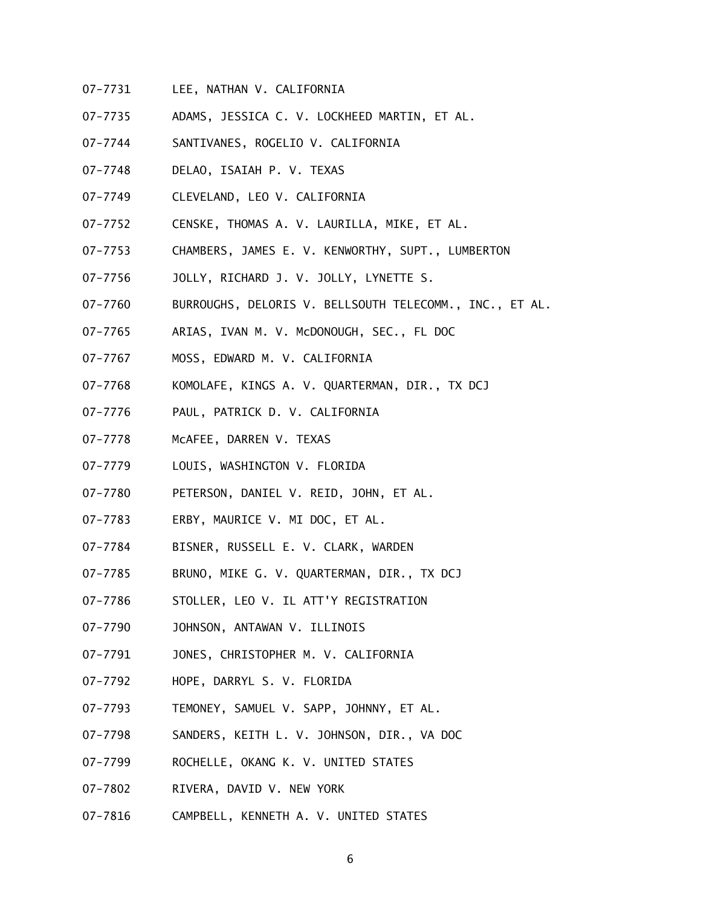- 07-7731 LEE, NATHAN V. CALIFORNIA
- 07-7735 ADAMS, JESSICA C. V. LOCKHEED MARTIN, ET AL.
- 07-7744 SANTIVANES, ROGELIO V. CALIFORNIA
- 07-7748 DELAO, ISAIAH P. V. TEXAS
- 07-7749 CLEVELAND, LEO V. CALIFORNIA
- 07-7752 CENSKE, THOMAS A. V. LAURILLA, MIKE, ET AL.
- 07-7753 CHAMBERS, JAMES E. V. KENWORTHY, SUPT., LUMBERTON
- 07-7756 JOLLY, RICHARD J. V. JOLLY, LYNETTE S.
- 07-7760 BURROUGHS, DELORIS V. BELLSOUTH TELECOMM., INC., ET AL.
- 07-7765 ARIAS, IVAN M. V. McDONOUGH, SEC., FL DOC
- 07-7767 MOSS, EDWARD M. V. CALIFORNIA
- 07-7768 KOMOLAFE, KINGS A. V. QUARTERMAN, DIR., TX DCJ
- 07-7776 PAUL, PATRICK D. V. CALIFORNIA
- 07-7778 McAFEE, DARREN V. TEXAS
- 07-7779 LOUIS, WASHINGTON V. FLORIDA
- 07-7780 PETERSON, DANIEL V. REID, JOHN, ET AL.
- 07-7783 ERBY, MAURICE V. MI DOC, ET AL.
- 07-7784 BISNER, RUSSELL E. V. CLARK, WARDEN
- 07-7785 BRUNO, MIKE G. V. QUARTERMAN, DIR., TX DCJ
- 07-7786 STOLLER, LEO V. IL ATT'Y REGISTRATION
- 07-7790 JOHNSON, ANTAWAN V. ILLINOIS
- 07-7791 JONES, CHRISTOPHER M. V. CALIFORNIA
- 07-7792 HOPE, DARRYL S. V. FLORIDA
- 07-7793 TEMONEY, SAMUEL V. SAPP, JOHNNY, ET AL.
- 07-7798 SANDERS, KEITH L. V. JOHNSON, DIR., VA DOC
- 07-7799 ROCHELLE, OKANG K. V. UNITED STATES
- 07-7802 RIVERA, DAVID V. NEW YORK
- 07-7816 CAMPBELL, KENNETH A. V. UNITED STATES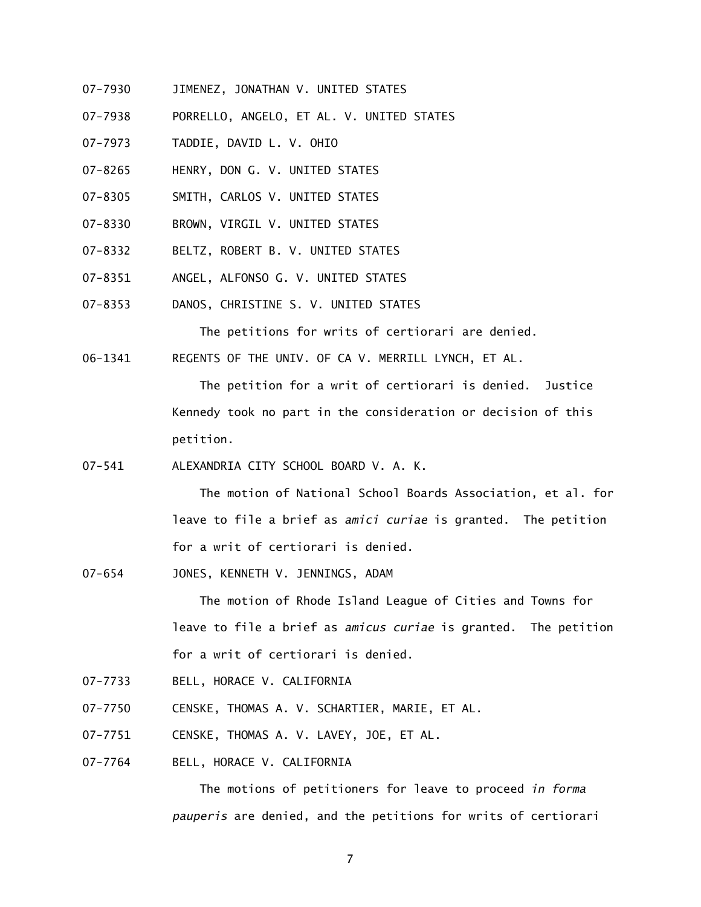- 07-7930 JIMENEZ, JONATHAN V. UNITED STATES
- 07-7938 PORRELLO, ANGELO, ET AL. V. UNITED STATES
- 07-7973 TADDIE, DAVID L. V. OHIO
- 07-8265 HENRY, DON G. V. UNITED STATES
- 07-8305 SMITH, CARLOS V. UNITED STATES
- 07-8330 BROWN, VIRGIL V. UNITED STATES
- 07-8332 BELTZ, ROBERT B. V. UNITED STATES
- 07-8351 ANGEL, ALFONSO G. V. UNITED STATES
- 07-8353 DANOS, CHRISTINE S. V. UNITED STATES

The petitions for writs of certiorari are denied.

06-1341 REGENTS OF THE UNIV. OF CA V. MERRILL LYNCH, ET AL.

 The petition for a writ of certiorari is denied. Justice Kennedy took no part in the consideration or decision of this petition.

07-541 ALEXANDRIA CITY SCHOOL BOARD V. A. K.

 The motion of National School Boards Association, et al. for leave to file a brief as *amici curiae* is granted. The petition for a writ of certiorari is denied.

07-654 JONES, KENNETH V. JENNINGS, ADAM

 The motion of Rhode Island League of Cities and Towns for leave to file a brief as *amicus curiae* is granted. The petition for a writ of certiorari is denied.

- 07-7733 BELL, HORACE V. CALIFORNIA
- 07-7750 CENSKE, THOMAS A. V. SCHARTIER, MARIE, ET AL.
- 07-7751 CENSKE, THOMAS A. V. LAVEY, JOE, ET AL.
- 07-7764 BELL, HORACE V. CALIFORNIA

 The motions of petitioners for leave to proceed *in forma pauperis* are denied, and the petitions for writs of certiorari